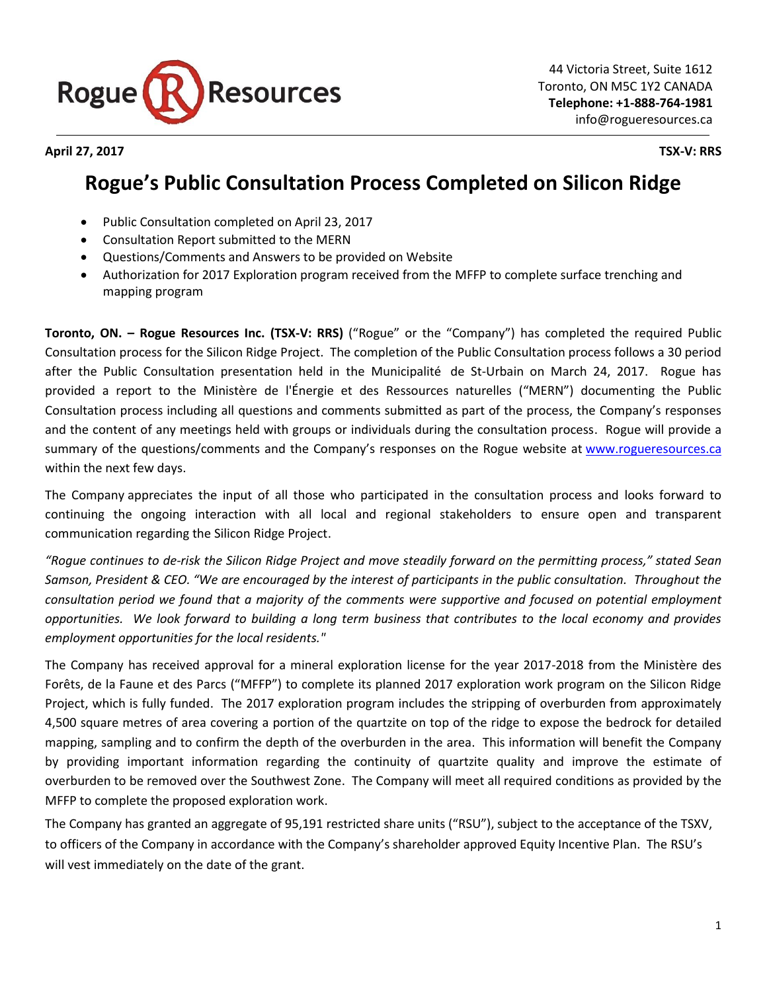

**April 27, 2017 TSX-V: RRS**

## **Rogue's Public Consultation Process Completed on Silicon Ridge**

- Public Consultation completed on April 23, 2017
- Consultation Report submitted to the MERN
- Questions/Comments and Answers to be provided on Website
- Authorization for 2017 Exploration program received from the MFFP to complete surface trenching and mapping program

**Toronto, ON. – Rogue Resources Inc. (TSX-V: RRS)** ("Rogue" or the "Company") has completed the required Public Consultation process for the Silicon Ridge Project. The completion of the Public Consultation process follows a 30 period after the Public Consultation presentation held in the Municipalité de St-Urbain on March 24, 2017. Rogue has provided a report to the Ministère de l'Énergie et des Ressources naturelles ("MERN") documenting the Public Consultation process including all questions and comments submitted as part of the process, the Company's responses and the content of any meetings held with groups or individuals during the consultation process. Rogue will provide a summary of the questions/comments and the Company's responses on the Rogue website at [www.rogueresources.ca](http://www.rogueresources.ca/) within the next few days.

The Company appreciates the input of all those who participated in the consultation process and looks forward to continuing the ongoing interaction with all local and regional stakeholders to ensure open and transparent communication regarding the Silicon Ridge Project.

*"Rogue continues to de-risk the Silicon Ridge Project and move steadily forward on the permitting process," stated Sean Samson, President & CEO. "We are encouraged by the interest of participants in the public consultation. Throughout the consultation period we found that a majority of the comments were supportive and focused on potential employment opportunities. We look forward to building a long term business that contributes to the local economy and provides employment opportunities for the local residents."*

The Company has received approval for a mineral exploration license for the year 2017-2018 from the [Ministère des](http://mffp.gouv.qc.ca/english/home.jsp)  [Forêts, de la Faune et des Parcs](http://mffp.gouv.qc.ca/english/home.jsp) ("MFFP") to complete its planned 2017 exploration work program on the Silicon Ridge Project, which is fully funded. The 2017 exploration program includes the stripping of overburden from approximately 4,500 square metres of area covering a portion of the quartzite on top of the ridge to expose the bedrock for detailed mapping, sampling and to confirm the depth of the overburden in the area. This information will benefit the Company by providing important information regarding the continuity of quartzite quality and improve the estimate of overburden to be removed over the Southwest Zone. The Company will meet all required conditions as provided by the MFFP to complete the proposed exploration work.

The Company has granted an aggregate of 95,191 restricted share units ("RSU"), subject to the acceptance of the TSXV, to officers of the Company in accordance with the Company's shareholder approved Equity Incentive Plan. The RSU's will vest immediately on the date of the grant.